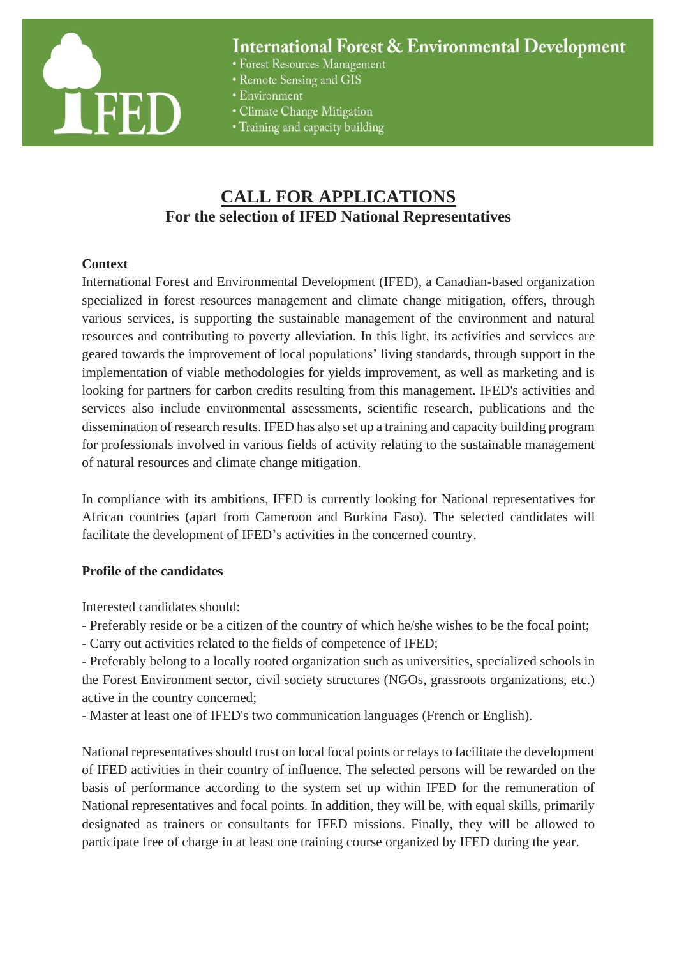

# **International Forest & Environmental Development**

- Forest Resources Management
- Remote Sensing and GIS
- Environment
- Climate Change Mitigation
- Training and capacity building

# **CALL FOR APPLICATIONS For the selection of IFED National Representatives**

#### **Context**

International Forest and Environmental Development (IFED), a Canadian-based organization specialized in forest resources management and climate change mitigation, offers, through various services, is supporting the sustainable management of the environment and natural resources and contributing to poverty alleviation. In this light, its activities and services are geared towards the improvement of local populations' living standards, through support in the implementation of viable methodologies for yields improvement, as well as marketing and is looking for partners for carbon credits resulting from this management. IFED's activities and services also include environmental assessments, scientific research, publications and the dissemination of research results. IFED has also set up a training and capacity building program for professionals involved in various fields of activity relating to the sustainable management of natural resources and climate change mitigation.

In compliance with its ambitions, IFED is currently looking for National representatives for African countries (apart from Cameroon and Burkina Faso). The selected candidates will facilitate the development of IFED's activities in the concerned country.

## **Profile of the candidates**

Interested candidates should:

- Preferably reside or be a citizen of the country of which he/she wishes to be the focal point;
- Carry out activities related to the fields of competence of IFED;

- Preferably belong to a locally rooted organization such as universities, specialized schools in the Forest Environment sector, civil society structures (NGOs, grassroots organizations, etc.) active in the country concerned;

- Master at least one of IFED's two communication languages (French or English).

National representatives should trust on local focal points or relays to facilitate the development of IFED activities in their country of influence. The selected persons will be rewarded on the basis of performance according to the system set up within IFED for the remuneration of National representatives and focal points. In addition, they will be, with equal skills, primarily designated as trainers or consultants for IFED missions. Finally, they will be allowed to participate free of charge in at least one training course organized by IFED during the year.